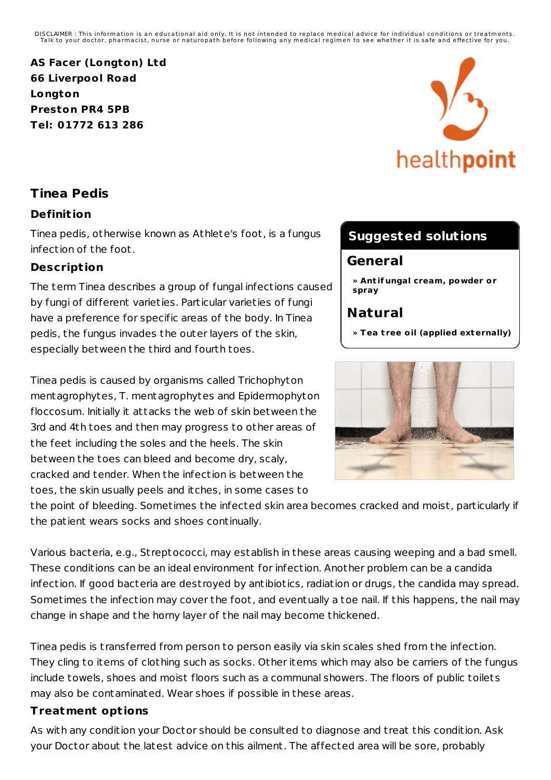DISCLAIMER : This information is an educational aid only. It is not intended to replace medical advice for individual conditions or treatments.<br>Talk to your doctor, pharmacist, nurse or naturopath before following any medi

**AS Facer (Longton) Ltd 66 Liverpool Road Longton Preston PR4 5PB Tel: 01772 613 286**

# health**point**

## **Tinea Pedis**

### **Definit ion**

Tinea pedis, otherwise known as Athlete's foot, is a fungus infection of the foot.

#### **Descript ion**

The term Tinea describes a group of fungal infections caused by fungi of different varieties. Particular varieties of fungi have a preference for specific areas of the body. In Tinea pedis, the fungus invades the outer layers of the skin, especially between the third and fourth toes.

Tinea pedis is caused by organisms called Trichophyton mentagrophytes, T. mentagrophytes and Epidermophyton floccosum. Initially it attacks the web of skin between the 3rd and 4th toes and then may progress to other areas of the feet including the soles and the heels. The skin between the toes can bleed and become dry, scaly, cracked and tender. When the infection is between the toes, the skin usually peels and itches, in some cases to

the point of bleeding. Sometimes the infected skin area becomes cracked and moist, particularly if the patient wears socks and shoes continually.

Various bacteria, e.g., St reptococci, may establish in these areas causing weeping and a bad smell. These conditions can be an ideal environment for infection. Another problem can be a candida infection. If good bacteria are destroyed by antibiotics, radiation or drugs, the candida may spread. Sometimes the infection may cover the foot, and eventually a toe nail. If this happens, the nail may change in shape and the horny layer of the nail may become thickened.

Tinea pedis is t ransferred from person to person easily via skin scales shed from the infection. They cling to items of clothing such as socks. Other items which may also be carriers of the fungus include towels, shoes and moist floors such as a communal showers. The floors of public toilets may also be contaminated. Wear shoes if possible in these areas.

#### **Treatment opt ions**

As with any condition your Doctor should be consulted to diagnose and t reat this condition. Ask your Doctor about the latest advice on this ailment. The affected area will be sore, probably

# **Suggested solutions**

## **General**

**» Ant if ungal cream, powder or spray**

# **Natural**

**» Tea t ree oil (applied externally)**

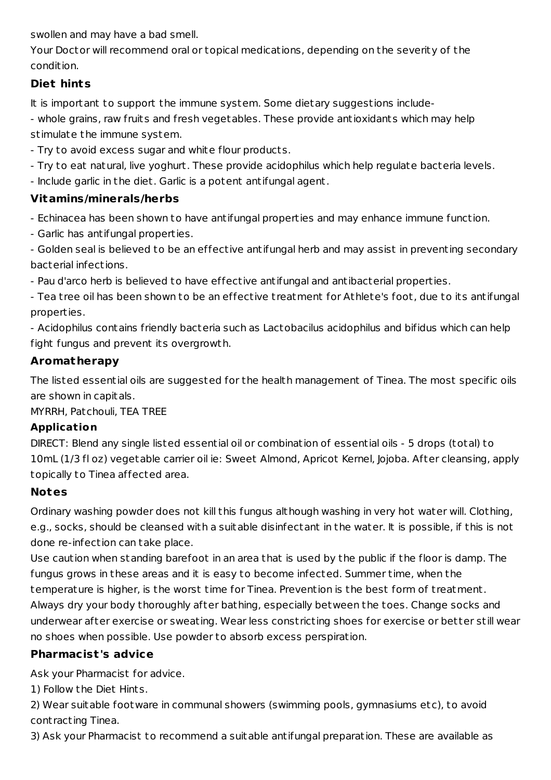swollen and may have a bad smell.

Your Doctor will recommend oral or topical medications, depending on the severity of the condition.

## **Diet hints**

It is important to support the immune system. Some dietary suggestions include-

- whole grains, raw fruits and fresh vegetables. These provide antioxidants which may help stimulate the immune system.

- Try to avoid excess sugar and white flour products.
- Try to eat natural, live yoghurt. These provide acidophilus which help regulate bacteria levels.
- Include garlic in the diet. Garlic is a potent antifungal agent.

## **Vitamins/minerals/herbs**

- Echinacea has been shown to have antifungal properties and may enhance immune function.
- Garlic has antifungal properties.
- Golden seal is believed to be an effective antifungal herb and may assist in preventing secondary bacterial infections.
- Pau d'arco herb is believed to have effective antifungal and antibacterial properties.
- Tea t ree oil has been shown to be an effective t reatment for Athlete's foot, due to its antifungal properties.
- Acidophilus contains friendly bacteria such as Lactobacilus acidophilus and bifidus which can help fight fungus and prevent its overgrowth.

## **Aromatherapy**

The listed essential oils are suggested for the health management of Tinea. The most specific oils are shown in capitals.

MYRRH, Patchouli, TEA TREE

## **Application**

DIRECT: Blend any single listed essential oil or combination of essential oils - 5 drops (total) to 10mL (1/3 fl oz) vegetable carrier oil ie: Sweet Almond, Apricot Kernel, Jojoba. After cleansing, apply topically to Tinea affected area.

## **Notes**

Ordinary washing powder does not kill this fungus although washing in very hot water will. Clothing, e.g., socks, should be cleansed with a suitable disinfectant in the water. It is possible, if this is not done re-infection can take place.

Use caution when standing barefoot in an area that is used by the public if the floor is damp. The fungus grows in these areas and it is easy to become infected. Summer time, when the temperature is higher, is the worst time for Tinea. Prevention is the best form of t reatment. Always dry your body thoroughly after bathing, especially between the toes. Change socks and underwear after exercise or sweating. Wear less const ricting shoes for exercise or better still wear no shoes when possible. Use powder to absorb excess perspiration.

## **Pharmacist 's advice**

Ask your Pharmacist for advice.

1) Follow the Diet Hints.

2) Wear suitable footware in communal showers (swimming pools, gymnasiums etc), to avoid cont racting Tinea.

3) Ask your Pharmacist to recommend a suitable antifungal preparation. These are available as